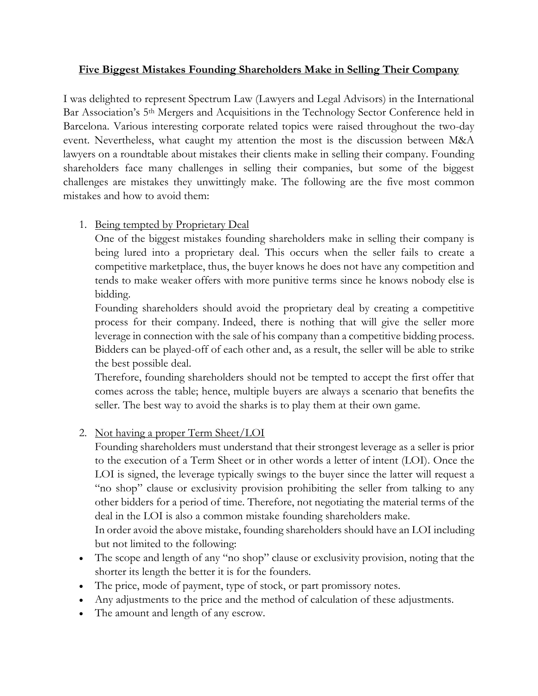# **Five Biggest Mistakes Founding Shareholders Make in Selling Their Company**

I was delighted to represent Spectrum Law (Lawyers and Legal Advisors) in the International Bar Association's 5th Mergers and Acquisitions in the Technology Sector Conference held in Barcelona. Various interesting corporate related topics were raised throughout the two-day event. Nevertheless, what caught my attention the most is the discussion between M&A lawyers on a roundtable about mistakes their clients make in selling their company. Founding shareholders face many challenges in selling their companies, but some of the biggest challenges are mistakes they unwittingly make. The following are the five most common mistakes and how to avoid them:

## 1. Being tempted by Proprietary Deal

One of the biggest mistakes founding shareholders make in selling their company is being lured into a proprietary deal. This occurs when the seller fails to create a competitive marketplace, thus, the buyer knows he does not have any competition and tends to make weaker offers with more punitive terms since he knows nobody else is bidding.

Founding shareholders should avoid the proprietary deal by creating a competitive process for their company. Indeed, there is nothing that will give the seller more leverage in connection with the sale of his company than a competitive bidding process. Bidders can be played-off of each other and, as a result, the seller will be able to strike the best possible deal.

Therefore, founding shareholders should not be tempted to accept the first offer that comes across the table; hence, multiple buyers are always a scenario that benefits the seller. The best way to avoid the sharks is to play them at their own game.

## 2. Not having a proper Term Sheet/LOI

Founding shareholders must understand that their strongest leverage as a seller is prior to the execution of a Term Sheet or in other words a letter of intent (LOI). Once the LOI is signed, the leverage typically swings to the buyer since the latter will request a "no shop" clause or exclusivity provision prohibiting the seller from talking to any other bidders for a period of time. Therefore, not negotiating the material terms of the deal in the LOI is also a common mistake founding shareholders make.

In order avoid the above mistake, founding shareholders should have an LOI including but not limited to the following:

- The scope and length of any "no shop" clause or exclusivity provision, noting that the shorter its length the better it is for the founders.
- The price, mode of payment, type of stock, or part promissory notes.
- Any adjustments to the price and the method of calculation of these adjustments.
- The amount and length of any escrow.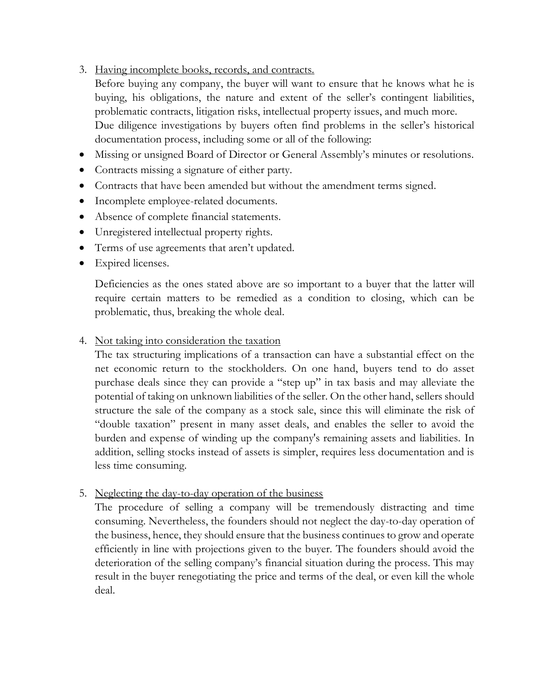3. Having incomplete books, records, and contracts.

Before buying any company, the buyer will want to ensure that he knows what he is buying, his obligations, the nature and extent of the seller's contingent liabilities, problematic contracts, litigation risks, intellectual property issues, and much more. Due diligence investigations by buyers often find problems in the seller's historical documentation process, including some or all of the following:

- Missing or unsigned Board of Director or General Assembly's minutes or resolutions.
- Contracts missing a signature of either party.
- Contracts that have been amended but without the amendment terms signed.
- Incomplete employee-related documents.
- Absence of complete financial statements.
- Unregistered intellectual property rights.
- Terms of use agreements that aren't updated.
- Expired licenses.

Deficiencies as the ones stated above are so important to a buyer that the latter will require certain matters to be remedied as a condition to closing, which can be problematic, thus, breaking the whole deal.

### 4. Not taking into consideration the taxation

The tax structuring implications of a transaction can have a substantial effect on the net economic return to the stockholders. On one hand, buyers tend to do asset purchase deals since they can provide a "step up" in tax basis and may alleviate the potential of taking on unknown liabilities of the seller. On the other hand, sellers should structure the sale of the company as a stock sale, since this will eliminate the risk of "double taxation" present in many asset deals, and enables the seller to avoid the burden and expense of winding up the company's remaining assets and liabilities. In addition, selling stocks instead of assets is simpler, requires less documentation and is less time consuming.

### 5. Neglecting the day-to-day operation of the business

The procedure of selling a company will be tremendously distracting and time consuming. Nevertheless, the founders should not neglect the day-to-day operation of the business, hence, they should ensure that the business continues to grow and operate efficiently in line with projections given to the buyer. The founders should avoid the deterioration of the selling company's financial situation during the process. This may result in the buyer renegotiating the price and terms of the deal, or even kill the whole deal.